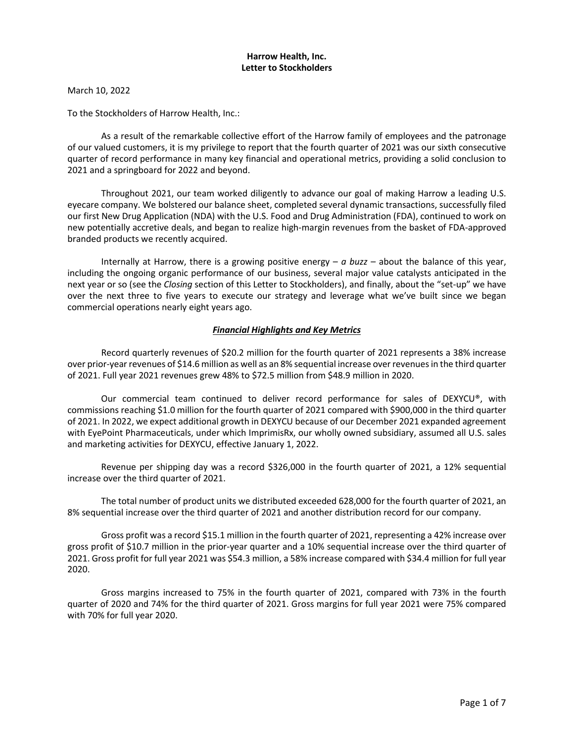# **Harrow Health, Inc. Letter to Stockholders**

March 10, 2022

To the Stockholders of Harrow Health, Inc.:

As a result of the remarkable collective effort of the Harrow family of employees and the patronage of our valued customers, it is my privilege to report that the fourth quarter of 2021 was our sixth consecutive quarter of record performance in many key financial and operational metrics, providing a solid conclusion to 2021 and a springboard for 2022 and beyond.

Throughout 2021, our team worked diligently to advance our goal of making Harrow a leading U.S. eyecare company. We bolstered our balance sheet, completed several dynamic transactions, successfully filed our first New Drug Application (NDA) with the U.S. Food and Drug Administration (FDA), continued to work on new potentially accretive deals, and began to realize high-margin revenues from the basket of FDA-approved branded products we recently acquired.

Internally at Harrow, there is a growing positive energy – *a buzz* – about the balance of this year, including the ongoing organic performance of our business, several major value catalysts anticipated in the next year or so (see the *Closing* section of this Letter to Stockholders), and finally, about the "set-up" we have over the next three to five years to execute our strategy and leverage what we've built since we began commercial operations nearly eight years ago.

# *Financial Highlights and Key Metrics*

Record quarterly revenues of \$20.2 million for the fourth quarter of 2021 represents a 38% increase over prior-year revenues of \$14.6 million as well as an 8% sequential increase over revenues in the third quarter of 2021. Full year 2021 revenues grew 48% to \$72.5 million from \$48.9 million in 2020.

Our commercial team continued to deliver record performance for sales of DEXYCU®, with commissions reaching \$1.0 million for the fourth quarter of 2021 compared with \$900,000 in the third quarter of 2021. In 2022, we expect additional growth in DEXYCU because of our December 2021 expanded agreement with EyePoint Pharmaceuticals, under which ImprimisRx, our wholly owned subsidiary, assumed all U.S. sales and marketing activities for DEXYCU, effective January 1, 2022.

Revenue per shipping day was a record \$326,000 in the fourth quarter of 2021, a 12% sequential increase over the third quarter of 2021.

The total number of product units we distributed exceeded 628,000 for the fourth quarter of 2021, an 8% sequential increase over the third quarter of 2021 and another distribution record for our company.

Gross profit was a record \$15.1 million in the fourth quarter of 2021, representing a 42% increase over gross profit of \$10.7 million in the prior-year quarter and a 10% sequential increase over the third quarter of 2021. Gross profit for full year 2021 was \$54.3 million, a 58% increase compared with \$34.4 million for full year 2020.

Gross margins increased to 75% in the fourth quarter of 2021, compared with 73% in the fourth quarter of 2020 and 74% for the third quarter of 2021. Gross margins for full year 2021 were 75% compared with 70% for full year 2020.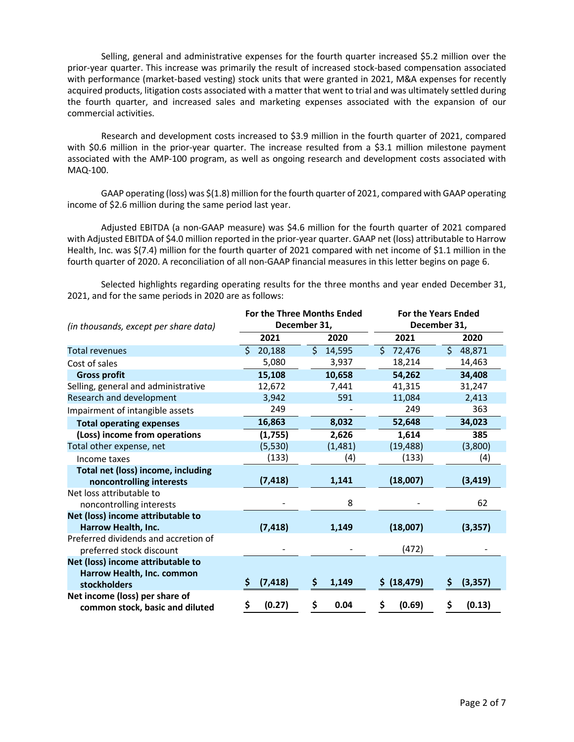Selling, general and administrative expenses for the fourth quarter increased \$5.2 million over the prior-year quarter. This increase was primarily the result of increased stock-based compensation associated with performance (market-based vesting) stock units that were granted in 2021, M&A expenses for recently acquired products, litigation costs associated with a matter that went to trial and was ultimately settled during the fourth quarter, and increased sales and marketing expenses associated with the expansion of our commercial activities.

Research and development costs increased to \$3.9 million in the fourth quarter of 2021, compared with \$0.6 million in the prior-year quarter. The increase resulted from a \$3.1 million milestone payment associated with the AMP-100 program, as well as ongoing research and development costs associated with MAQ-100.

GAAP operating (loss) was \$(1.8) million for the fourth quarter of 2021, compared with GAAP operating income of \$2.6 million during the same period last year.

Adjusted EBITDA (a non-GAAP measure) was \$4.6 million for the fourth quarter of 2021 compared with Adjusted EBITDA of \$4.0 million reported in the prior-year quarter. GAAP net (loss) attributable to Harrow Health, Inc. was \$(7.4) million for the fourth quarter of 2021 compared with net income of \$1.1 million in the fourth quarter of 2020. A reconciliation of all non-GAAP financial measures in this letter begins on page 6.

Selected highlights regarding operating results for the three months and year ended December 31, 2021, and for the same periods in 2020 are as follows:

| (in thousands, except per share data)                             | <b>For the Three Months Ended</b><br>December 31, |              | <b>For the Years Ended</b><br>December 31, |                |
|-------------------------------------------------------------------|---------------------------------------------------|--------------|--------------------------------------------|----------------|
|                                                                   | 2021                                              | 2020         | 2021                                       | 2020           |
| <b>Total revenues</b>                                             | Ŝ.<br>20,188                                      | Ś.<br>14,595 | Ś.<br>72,476                               | \$<br>48,871   |
| Cost of sales                                                     | 5,080                                             | 3,937        | 18,214                                     | 14,463         |
| <b>Gross profit</b>                                               | 15,108                                            | 10,658       | 54,262                                     | 34,408         |
| Selling, general and administrative                               | 12,672                                            | 7,441        | 41,315                                     | 31,247         |
| Research and development                                          | 3,942                                             | 591          | 11,084                                     | 2,413          |
| Impairment of intangible assets                                   | 249                                               |              | 249                                        | 363            |
| <b>Total operating expenses</b>                                   | 16,863                                            | 8,032        | 52,648                                     | 34,023         |
| (Loss) income from operations                                     | (1,755)                                           | 2,626        | 1,614                                      | 385            |
| Total other expense, net                                          | (5, 530)                                          | (1,481)      | (19, 488)                                  | (3,800)        |
| Income taxes                                                      | (133)                                             | (4)          | (133)                                      | (4)            |
| Total net (loss) income, including                                |                                                   |              |                                            |                |
| noncontrolling interests                                          | (7, 418)                                          | 1,141        | (18,007)                                   | (3, 419)       |
| Net loss attributable to                                          |                                                   |              |                                            |                |
| noncontrolling interests                                          |                                                   | 8            |                                            | 62             |
| Net (loss) income attributable to                                 |                                                   |              |                                            |                |
| Harrow Health, Inc.                                               | (7, 418)                                          | 1,149        | (18,007)                                   | (3, 357)       |
| Preferred dividends and accretion of                              |                                                   |              |                                            |                |
| preferred stock discount                                          |                                                   |              | (472)                                      |                |
| Net (loss) income attributable to                                 |                                                   |              |                                            |                |
| Harrow Health, Inc. common<br>stockholders                        | (7, 418)<br>\$                                    | \$<br>1,149  | \$ (18, 479)                               | (3, 357)<br>\$ |
| Net income (loss) per share of<br>common stock, basic and diluted | (0.27)<br>\$                                      | \$<br>0.04   | (0.69)<br>\$                               | (0.13)<br>Ş    |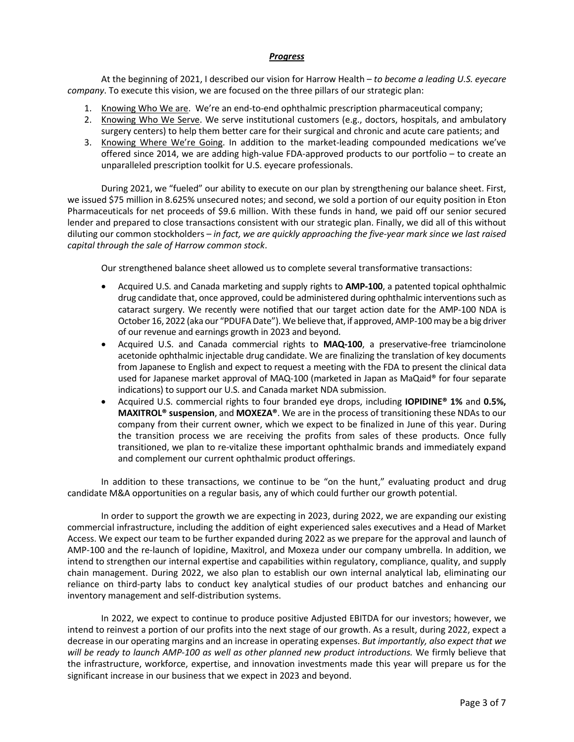### *Progress*

At the beginning of 2021, I described our vision for Harrow Health – *to become a leading U.S. eyecare company*. To execute this vision, we are focused on the three pillars of our strategic plan:

- 1. Knowing Who We are. We're an end-to-end ophthalmic prescription pharmaceutical company;
- 2. Knowing Who We Serve. We serve institutional customers (e.g., doctors, hospitals, and ambulatory surgery centers) to help them better care for their surgical and chronic and acute care patients; and
- 3. Knowing Where We're Going. In addition to the market-leading compounded medications we've offered since 2014, we are adding high-value FDA-approved products to our portfolio – to create an unparalleled prescription toolkit for U.S. eyecare professionals.

During 2021, we "fueled" our ability to execute on our plan by strengthening our balance sheet. First, we issued \$75 million in 8.625% unsecured notes; and second, we sold a portion of our equity position in Eton Pharmaceuticals for net proceeds of \$9.6 million. With these funds in hand, we paid off our senior secured lender and prepared to close transactions consistent with our strategic plan. Finally, we did all of this without diluting our common stockholders – *in fact, we are quickly approaching the five-year mark since we last raised capital through the sale of Harrow common stock*.

Our strengthened balance sheet allowed us to complete several transformative transactions:

- Acquired U.S. and Canada marketing and supply rights to **AMP-100**, a patented topical ophthalmic drug candidate that, once approved, could be administered during ophthalmic interventions such as cataract surgery. We recently were notified that our target action date for the AMP-100 NDA is October 16, 2022 (aka our "PDUFA Date"). We believe that, if approved, AMP-100 may be a big driver of our revenue and earnings growth in 2023 and beyond.
- Acquired U.S. and Canada commercial rights to **MAQ-100**, a preservative-free triamcinolone acetonide ophthalmic injectable drug candidate. We are finalizing the translation of key documents from Japanese to English and expect to request a meeting with the FDA to present the clinical data used for Japanese market approval of MAQ-100 (marketed in Japan as MaQaid® for four separate indications) to support our U.S. and Canada market NDA submission.
- Acquired U.S. commercial rights to four branded eye drops, including **IOPIDINE® 1%** and **0.5%, MAXITROL® suspension**, and **MOXEZA®**. We are in the process of transitioning these NDAs to our company from their current owner, which we expect to be finalized in June of this year. During the transition process we are receiving the profits from sales of these products. Once fully transitioned, we plan to re-vitalize these important ophthalmic brands and immediately expand and complement our current ophthalmic product offerings.

In addition to these transactions, we continue to be "on the hunt," evaluating product and drug candidate M&A opportunities on a regular basis, any of which could further our growth potential.

In order to support the growth we are expecting in 2023, during 2022, we are expanding our existing commercial infrastructure, including the addition of eight experienced sales executives and a Head of Market Access. We expect our team to be further expanded during 2022 as we prepare for the approval and launch of AMP-100 and the re-launch of Iopidine, Maxitrol, and Moxeza under our company umbrella. In addition, we intend to strengthen our internal expertise and capabilities within regulatory, compliance, quality, and supply chain management. During 2022, we also plan to establish our own internal analytical lab, eliminating our reliance on third-party labs to conduct key analytical studies of our product batches and enhancing our inventory management and self-distribution systems.

In 2022, we expect to continue to produce positive Adjusted EBITDA for our investors; however, we intend to reinvest a portion of our profits into the next stage of our growth. As a result, during 2022, expect a decrease in our operating margins and an increase in operating expenses. *But importantly, also expect that we*  will be ready to launch AMP-100 as well as other planned new product introductions. We firmly believe that the infrastructure, workforce, expertise, and innovation investments made this year will prepare us for the significant increase in our business that we expect in 2023 and beyond.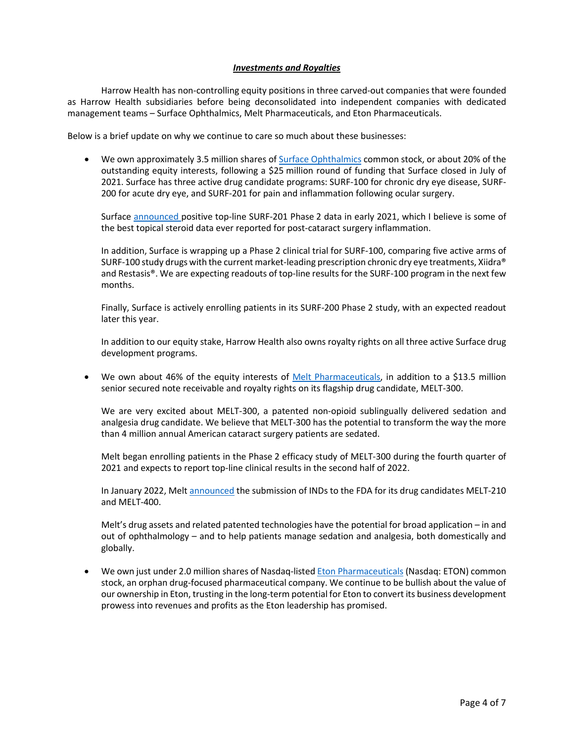# *Investments and Royalties*

Harrow Health has non-controlling equity positions in three carved-out companies that were founded as Harrow Health subsidiaries before being deconsolidated into independent companies with dedicated management teams – Surface Ophthalmics, Melt Pharmaceuticals, and Eton Pharmaceuticals.

Below is a brief update on why we continue to care so much about these businesses:

• We own approximately 3.5 million shares of **[Surface Ophthalmics](https://surfaceophthalmics.com/)** common stock, or about 20% of the outstanding equity interests, following a \$25 million round of funding that Surface closed in July of 2021. Surface has three active drug candidate programs: SURF-100 for chronic dry eye disease, SURF-200 for acute dry eye, and SURF-201 for pain and inflammation following ocular surgery.

Surfac[e announced p](https://www.prnewswire.com/news-releases/surface-ophthalmics-announces-first-patient-dosed-in-landmark-head-to-head-phase-ii-trial-for-surf-100-for-chronic-dry-eye-disease-301215738.html)ositive top-line SURF-201 Phase 2 data in early 2021, which I believe is some of the best topical steroid data ever reported for post-cataract surgery inflammation.

In addition, Surface is wrapping up a Phase 2 clinical trial for SURF-100, comparing five active arms of SURF-100 study drugs with the current market-leading prescription chronic dry eye treatments, Xiidra® and Restasis®. We are expecting readouts of top-line results for the SURF-100 program in the next few months.

Finally, Surface is actively enrolling patients in its SURF-200 Phase 2 study, with an expected readout later this year.

In addition to our equity stake, Harrow Health also owns royalty rights on all three active Surface drug development programs.

• We own about 46% of the equity interests of [Melt Pharmaceuticals,](http://www.meltpharma.com/) in addition to a \$13.5 million senior secured note receivable and royalty rights on its flagship drug candidate, MELT-300.

We are very excited about MELT-300, a patented non-opioid sublingually delivered sedation and analgesia drug candidate. We believe that MELT-300 has the potential to transform the way the more than 4 million annual American cataract surgery patients are sedated.

Melt began enrolling patients in the Phase 2 efficacy study of MELT-300 during the fourth quarter of 2021 and expects to report top-line clinical results in the second half of 2022.

In January 2022, Melt [announced](https://www.businesswire.com/news/home/20220104005278/en/) the submission of INDs to the FDA for its drug candidates MELT-210 and MELT-400.

Melt's drug assets and related patented technologies have the potential for broad application – in and out of ophthalmology – and to help patients manage sedation and analgesia, both domestically and globally.

• We own just under 2.0 million shares of Nasdaq-liste[d Eton Pharmaceuticals](http://www.etonpharma.com/) (Nasdaq: ETON) common stock, an orphan drug-focused pharmaceutical company. We continue to be bullish about the value of our ownership in Eton, trusting in the long-term potential for Eton to convert its business development prowess into revenues and profits as the Eton leadership has promised.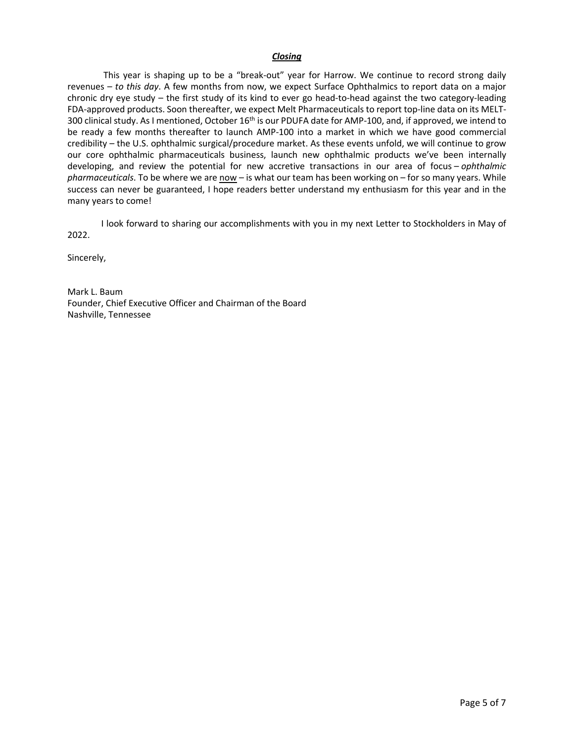### *Closing*

This year is shaping up to be a "break-out" year for Harrow. We continue to record strong daily revenues – *to this day*. A few months from now, we expect Surface Ophthalmics to report data on a major chronic dry eye study – the first study of its kind to ever go head-to-head against the two category-leading FDA-approved products. Soon thereafter, we expect Melt Pharmaceuticals to report top-line data on its MELT-300 clinical study. As I mentioned, October 16th is our PDUFA date for AMP-100, and, if approved, we intend to be ready a few months thereafter to launch AMP-100 into a market in which we have good commercial credibility – the U.S. ophthalmic surgical/procedure market. As these events unfold, we will continue to grow our core ophthalmic pharmaceuticals business, launch new ophthalmic products we've been internally developing, and review the potential for new accretive transactions in our area of focus – *ophthalmic pharmaceuticals*. To be where we are now – is what our team has been working on – for so many years. While success can never be guaranteed, I hope readers better understand my enthusiasm for this year and in the many years to come!

I look forward to sharing our accomplishments with you in my next Letter to Stockholders in May of 2022.

Sincerely,

Mark L. Baum Founder, Chief Executive Officer and Chairman of the Board Nashville, Tennessee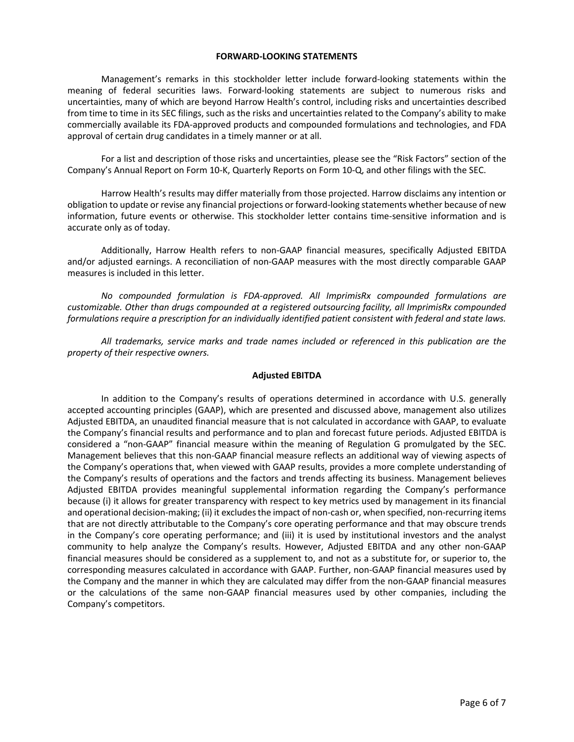#### **FORWARD-LOOKING STATEMENTS**

Management's remarks in this stockholder letter include forward-looking statements within the meaning of federal securities laws. Forward-looking statements are subject to numerous risks and uncertainties, many of which are beyond Harrow Health's control, including risks and uncertainties described from time to time in its SEC filings, such as the risks and uncertainties related to the Company's ability to make commercially available its FDA-approved products and compounded formulations and technologies, and FDA approval of certain drug candidates in a timely manner or at all.

For a list and description of those risks and uncertainties, please see the "Risk Factors" section of the Company's Annual Report on Form 10-K, Quarterly Reports on Form 10-Q, and other filings with the SEC.

Harrow Health's results may differ materially from those projected. Harrow disclaims any intention or obligation to update or revise any financial projections or forward-looking statements whether because of new information, future events or otherwise. This stockholder letter contains time-sensitive information and is accurate only as of today.

Additionally, Harrow Health refers to non-GAAP financial measures, specifically Adjusted EBITDA and/or adjusted earnings. A reconciliation of non-GAAP measures with the most directly comparable GAAP measures is included in this letter.

*No compounded formulation is FDA-approved. All ImprimisRx compounded formulations are customizable. Other than drugs compounded at a registered outsourcing facility, all ImprimisRx compounded formulations require a prescription for an individually identified patient consistent with federal and state laws.*

*All trademarks, service marks and trade names included or referenced in this publication are the property of their respective owners.* 

### **Adjusted EBITDA**

In addition to the Company's results of operations determined in accordance with U.S. generally accepted accounting principles (GAAP), which are presented and discussed above, management also utilizes Adjusted EBITDA, an unaudited financial measure that is not calculated in accordance with GAAP, to evaluate the Company's financial results and performance and to plan and forecast future periods. Adjusted EBITDA is considered a "non-GAAP" financial measure within the meaning of Regulation G promulgated by the SEC. Management believes that this non-GAAP financial measure reflects an additional way of viewing aspects of the Company's operations that, when viewed with GAAP results, provides a more complete understanding of the Company's results of operations and the factors and trends affecting its business. Management believes Adjusted EBITDA provides meaningful supplemental information regarding the Company's performance because (i) it allows for greater transparency with respect to key metrics used by management in its financial and operational decision-making; (ii) it excludes the impact of non-cash or, when specified, non-recurring items that are not directly attributable to the Company's core operating performance and that may obscure trends in the Company's core operating performance; and (iii) it is used by institutional investors and the analyst community to help analyze the Company's results. However, Adjusted EBITDA and any other non-GAAP financial measures should be considered as a supplement to, and not as a substitute for, or superior to, the corresponding measures calculated in accordance with GAAP. Further, non-GAAP financial measures used by the Company and the manner in which they are calculated may differ from the non-GAAP financial measures or the calculations of the same non-GAAP financial measures used by other companies, including the Company's competitors.